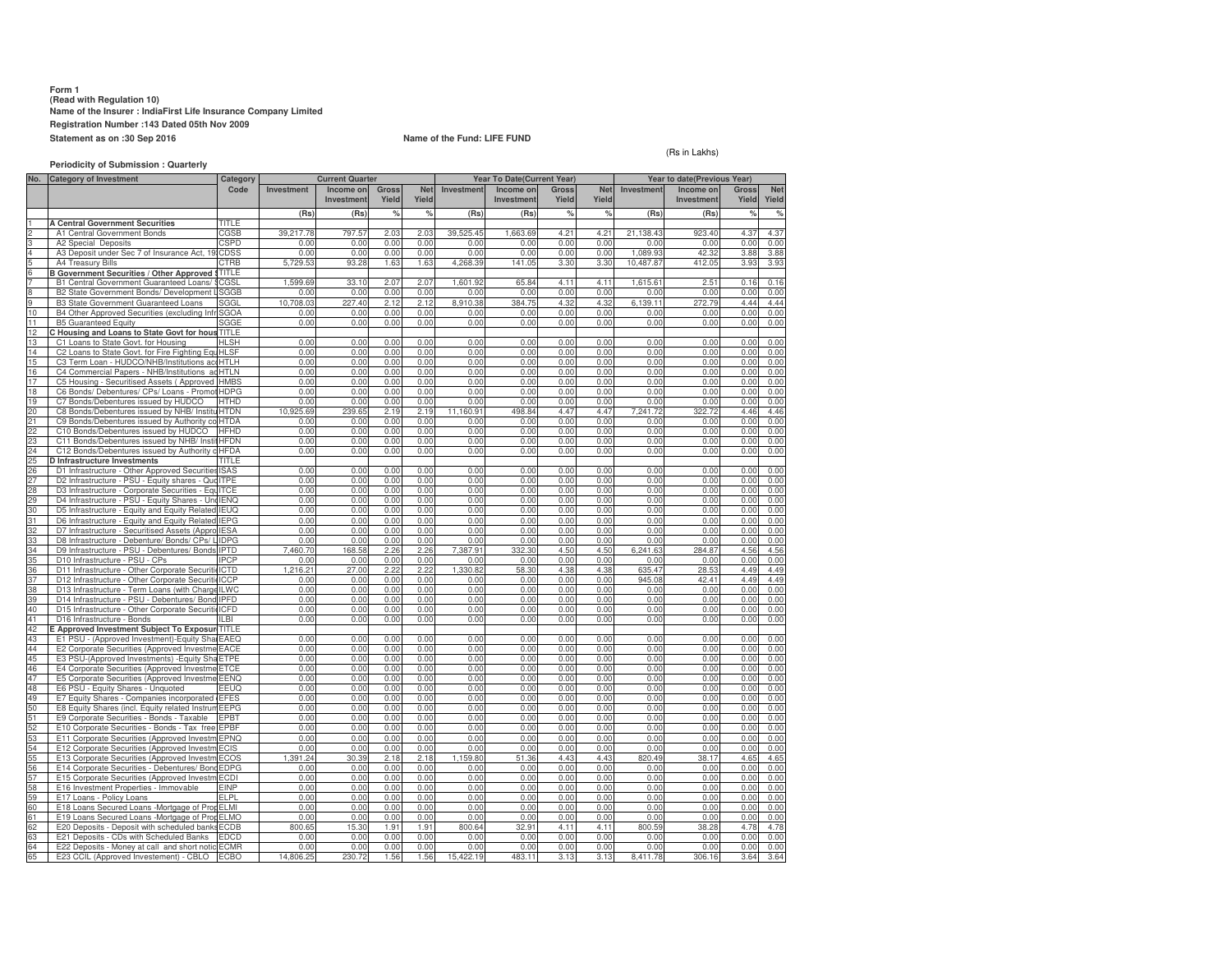# **Form 1 (Read with Regulation 10) Name of the Insurer : IndiaFirst Life Insurance Company LimitedRegistration Number :143 Dated 05th Nov 2009Statement as on :30 Sep 2016**

# **Name of the Fund: LIFE FUND**

## (Rs in Lakhs)

### **Periodicity of Submission : Quarterly**

| No.      | <b>Category of Investment</b>                                                                       | Category            | <b>Current Quarter</b> |               |              |               | Year To Date(Current Year) |                   |              |              | Year to date(Previous Year) |               |              |              |
|----------|-----------------------------------------------------------------------------------------------------|---------------------|------------------------|---------------|--------------|---------------|----------------------------|-------------------|--------------|--------------|-----------------------------|---------------|--------------|--------------|
|          |                                                                                                     | Code                | Investment             | Income on     | <b>Gross</b> | <b>Net</b>    | Investment                 | Income on         | <b>Gross</b> | <b>Net</b>   | Investment                  | Income on     | Gross        | <b>Net</b>   |
|          |                                                                                                     |                     |                        | Investment    | Yield        | Yield         |                            | Investment        | Yield        | Yield        |                             | Investment    | Yield        | Yield        |
|          |                                                                                                     |                     | (Rs)                   | (Rs)          | %            | $\frac{9}{6}$ | (Rs)                       | (Rs)              | %            | %            | (Rs)                        | (Rs)          | $\circ$      | %            |
|          | <b>A Central Government Securities</b>                                                              | TITLE               |                        |               |              |               |                            |                   |              |              |                             |               |              |              |
|          | A1 Central Government Bonds                                                                         | CGSB                | 39,217.78              | 797.57        | 2.03         | 2.03          | 39,525.45                  | 1,663.69          | 4.21         | 4.21         | 21,138.43                   | 923.40        | 4.37         | 4.37         |
|          | A2 Special Deposits                                                                                 | CSPD                | 0.00                   | 0.00          | 0.00         | 0.00          | 0.00                       | 0.00              | 0.00         | 0.00         | 0.00                        | 0.00          | 0.00         | 0.00         |
|          | A3 Deposit under Sec 7 of Insurance Act, 19                                                         | CDSS                | 0.00<br>5.729.53       | 0.00<br>93.28 | 0.00         | 0.00<br>1.63  | 0.00                       | 0.00              | 0.00         | 0.00         | 1.089.93                    | 42.32         | 3.88<br>3.93 | 3.88         |
|          | A4 Treasury Bills<br>3 Government Securities / Other Approved                                       | CTRB<br>TITLE       |                        |               | 1.63         |               | 4,268.39                   | 141.05            | 3.30         | 3.30         | 10,487.87                   | 412.05        |              | 3.93         |
|          | B1 Central Government Guaranteed Loans/                                                             | CGSI                | 1.599.69               | 33.10         | 2.07         | 2.07          | 1.601.92                   | 65.8              | 4.11         | 4.11         | 1.615.61                    | 2.51          | 0.16         | 0.16         |
|          | B2 State Government Bonds/ Development L                                                            | SGGB                | 0.00                   | 0.00          | 0.00         | 0.00          | 0.00                       | 0.00              | 0.00         | 0.00         | 0.00                        | 0.00          | 0.00         | 0.00         |
|          | <b>B3 State Government Guaranteed Loans</b>                                                         | SGGL                | 10,708.03              | 227.40        | 2.12         | 2.12          | 8,910.38                   | 384.75            | 4.32         | 4.32         | 6,139.11                    | 272.79        | 4.44         | 4.44         |
| 10       | B4 Other Approved Securities (excluding Infr                                                        | <b>SGOA</b>         | n nn                   | 0.00          | 0.00         | 0.00          | 0.00                       | 0.00              | 0.00         | 0.00         | 0.00                        | 0.00          | 0.00         | 0.00         |
| 11       | <b>B5 Guaranteed Equity</b>                                                                         | SGGE                | 0.00                   | 0.00          | 0.00         | 0.00          | 0.00                       | 0.00              | 0.00         | 0.00         | 0.00                        | 0.00          | 0.00         | 0.00         |
| 12       | Housing and Loans to State Govt for hous                                                            | TITLE               |                        |               |              |               |                            |                   |              |              |                             |               |              |              |
| 13       | C1 Loans to State Govt. for Housing                                                                 | <b>ILSH</b>         | 0.00                   | 0.00          | 0.00         | 0.00          | 0.00                       | 0.00              | 0.00         | 0.00         | 0.00                        | 0.00          | 0.00         | 0.00         |
| 14       | C2 Loans to State Govt. for Fire Fighting Equ                                                       | HLSF                | 0.00                   | 0.00          | 0.00         | 0.00          | 0.00                       | 0.00              | 0.00         | 0.00         | 0.00                        | 0.00          | 0.00         | 0.00         |
| 15       | C3 Term Loan - HUDCO/NHB/Institutions accHTLH                                                       |                     | 0.00                   | 0.00          | 0.00         | 0.00          | 0.00                       | 0.00              | 0.00         | 0.00         | 0.00                        | 0.00          | 0.00         | 0.00         |
| 16<br>17 | C4 Commercial Papers - NHB/Institutions ad HTLN<br>C5 Housing - Securitised Assets (Approved        | <b>HMBS</b>         | 0.00<br>0.00           | 0.00<br>0.00  | 0.00<br>0.00 | 0.00<br>0.00  | 0.00<br>0.00               | 0.00<br>0.00      | 0.00<br>0.00 | 0.00<br>0.00 | 0.00<br>0.00                | 0.00<br>0.00  | 0.00<br>0.00 | 0.00<br>0.00 |
| 18       | C6 Bonds/ Debentures/ CPs/ Loans - Promot                                                           | HDPG                | 0.00                   | 0.00          | 0.00         | 0.00          | 0.00                       | 0.00              | 0.00         | 0.00         | 0.00                        | 0.00          | 0.00         | 0.00         |
| 19       | C7 Bonds/Debentures issued by HUDCO                                                                 | <b>HTHD</b>         | 0.00                   | 0.00          | 0.00         | 0.00          | 0.00                       | 0.00              | 0.00         | 0.00         | 0.00                        | 0.00          | 0.00         | 0.00         |
| 20       | C8 Bonds/Debentures issued by NHB/ Institi                                                          | HTDN                | 10,925.69              | 239.65        | 2.19         | 2.19          | 11,160.91                  | 498.84            | 4.47         | 4.47         | 7,241.72                    | 322.72        | 4.46         | 4.46         |
| 21       | C9 Bonds/Debentures issued by Authority co                                                          | <b>HTDA</b>         | 0.00                   | 0.00          | 0.00         | 0.00          | 0.00                       | 0.00              | 0.00         | 0.00         | 0.00                        | 0.00          | 0.00         | 0.00         |
| 22       | C10 Bonds/Debentures issued by HUDCO                                                                | <b>HFHD</b>         | 0.00                   | 0.00          | 0.00         | 0.00          | 0.00                       | 0.00              | 0.00         | 0.00         | 0.00                        | 0.00          | 0.00         | 0.00         |
| 23       | C11 Bonds/Debentures issued by NHB/ Insti                                                           | HFDN                | 0.00                   | 0.00          | 0.00         | 0.00          | 0.00                       | 0.00              | 0.00         | 0.00         | 0.00                        | 0.00          | 0.00         | 0.00         |
| 24       | C12 Bonds/Debentures issued by Authority o HFDA                                                     |                     | 0.00                   | 0.00          | 0.00         | 0.00          | 0.00                       | 0.00              | 0.00         | 0.00         | 0.00                        | 0.00          | 0.00         | 0.00         |
| 25       | D Infrastructure Investments                                                                        | TITI F<br>SAS       |                        |               |              |               |                            |                   |              |              |                             |               |              |              |
| 26<br>27 | D1 Infrastructure - Other Approved Securities<br>D2 Infrastructure - PSU - Equity shares - Que ITPE |                     | 0.00<br>0.00           | 0.00<br>0.00  | 0.00<br>0.00 | 0.00<br>0.00  | 0.00<br>0.00               | 0.00<br>0.00      | 0.00<br>0.00 | 0.00<br>0.00 | 0.00<br>0.00                | 0.00<br>0.00  | 0.00<br>0.00 | 0.00<br>0.00 |
| 28       | D3 Infrastructure - Corporate Securities - EquITCE                                                  |                     | 0.00                   | 0.00          | 0.00         | 0.00          | 0.00                       | 0.00              | 0.00         | 0.00         | 0.00                        | 0.00          | 0.00         | 0.00         |
| 29       | D4 Infrastructure - PSU - Equity Shares - Uno                                                       | <b>IENG</b>         | 0.00                   | 0.00          | 0.00         | 0.00          | 0.00                       | 0.00              | 0.00         | 0.00         | 0.00                        | 0.00          | 0.00         | 0.00         |
| 30       | D5 Infrastructure - Equity and Equity Related                                                       | <b>IEUQ</b>         | 0.00                   | 0.00          | 0.00         | 0.00          | 0.00                       | 0.00              | 0.00         | 0.00         | 0.00                        | 0.00          | 0.00         | 0.00         |
| 31       | D6 Infrastructure - Equity and Equity Related                                                       | <b>IEPG</b>         | 0.00                   | 0.00          | 0.00         | 0.00          | 0.00                       | 0.00              | 0.00         | 0.00         | 0.00                        | 0.00          | 0.00         | 0.00         |
| 32       | D7 Infrastructure - Securitised Assets (Appro                                                       | <b>IESA</b>         | 0.00                   | 0.00          | 0.00         | 0.00          | 0.00                       | 0.00              | 0.00         | 0.00         | 0.00                        | 0.00          | 0.00         | 0.00         |
| 33       | D8 Infrastructure - Debenture/ Bonds/ CPs/ L                                                        | <b>IDPG</b>         | 0.00                   | 0.00          | 0.00         | 0.00          | 0.00                       | 0.00              | 0.00         | 0.00         | 0.00                        | 0.00          | 0.00         | 0.00         |
| 34       | D9 Infrastructure - PSU - Debentures/ Bonds                                                         | <b>IPTD</b>         | 460.70                 | 168.58        | 2.26         | 2.26          | 7.387.91                   | 332.30            | 4.50         | 4.50         | 6.241.63                    | 284.87        | 4.56         | 4.56         |
| 35       | D10 Infrastructure - PSU - CPs                                                                      | <b>IPCP</b>         | 0.00                   | 0.00          | 0.00         | 0.00          | 0.00                       | 0.00              | 0.00         | 0.00         | 0.00                        | 0.00          | 0.00         | 0.00         |
| 36       | D11 Infrastructure - Other Corporate Securiti                                                       | ICTD                | 1.216.21               | 27.00         | 2.22         | 2.22          | 1.330.82                   | 58.3              | 4.38         | 4.38         | 635.47                      | 28.53         | 4.49         | 4.49         |
| 37<br>38 | D12 Infrastructure - Other Corporate Securiti<br>D13 Infrastructure - Term Loans (with Charge       | ICCP<br><b>ILWC</b> | 0.00<br>0.00           | 0.00<br>0.00  | 0.00<br>0.00 | 0.00<br>0.00  | 0.00<br>0.00               | 0.00<br>0.00      | 0.00<br>0.00 | 0.00<br>0.00 | 945.08<br>0.00              | 42.41<br>0.00 | 4.49<br>0.00 | 4.49<br>0.00 |
| 39       | D14 Infrastructure - PSU - Debentures/ Bond IPFD                                                    |                     | 0.00                   | 0.00          | 0.00         | 0.00          | 0.00                       | 0.00              | 0.00         | 0.00         | 0.00                        | 0.00          | 0.00         | 0.00         |
| 40       | D15 Infrastructure - Other Corporate Securiti                                                       | ICFD                | 0.00                   | 0.00          | 0.00         | 0.00          | 0.00                       | 0.00              | 0.00         | 0.00         | 0.00                        | 0.00          | 0.00         | 0.00         |
| 41       | D16 Infrastructure - Bonds                                                                          | LBI                 | 0.00                   | 0.00          | 0.00         | 0.00          | 0.00                       | 0.00              | 0.00         | 0.00         | 0.00                        | 0.00          | 0.00         | 0.00         |
| 42       | Approved Investment Subject To Exposur                                                              | TITLE               |                        |               |              |               |                            |                   |              |              |                             |               |              |              |
| 43       | E1 PSU - (Approved Investment)-Equity Shar                                                          | FAEO                | 0.00                   | 0.00          | 0.00         | 0.00          | 0.00                       | 0.00              | 0.00         | 0.00         | 0.00                        | 0.00          | 0.00         | 0.00         |
| 44       | E2 Corporate Securities (Approved Investme                                                          | EACE                | 0.00                   | 0.00          | 0.00         | 0.00          | 0.00                       | 0.00              | 0.00         | 0.00         | 0.00                        | 0.00          | 0.00         | 0.00         |
| 45       | E3 PSU-(Approved Investments) - Equity Sha                                                          | ETPE                | 0.00                   | 0.00          | 0.00         | 0.00          | 0.00                       | 0.00              | 0.00         | 0.00         | 0.00                        | 0.00          | 0.00         | 0.00         |
| 46<br>47 | E4 Corporate Securities (Approved Investme                                                          | ETCE                | 0.00                   | 0.00<br>0.00  | 0.00         | 0.00          | 0.00<br>0.00               | 0.00<br>0.00      | 0.00         | 0.00         | 0.00                        | 0.00          | 0.00         | 0.00<br>0.00 |
| 48       | E5 Corporate Securities (Approved Investme<br>E6 PSU - Equity Shares - Unquoted                     | EENQ<br>EEUQ        | 0.00<br>0.00           | 0.00          | 0.00<br>0.00 | 0.00<br>0.00  | 0.00                       | 0.00              | 0.00<br>0.00 | 0.00<br>0.00 | 0.00<br>0.00                | 0.00<br>0.00  | 0.00<br>0.00 | 0.00         |
| 49       | E7 Equity Shares - Companies incorporated                                                           | <b>EFES</b>         | 0.00                   | 0.00          | 0.00         | 0.00          | 0.00                       | 0.00              | 0.00         | 0.00         | 0.00                        | 0.00          | 0.00         | 0.00         |
| 50       | E8 Equity Shares (incl. Equity related Instrun                                                      | FFPG                | 0.00                   | 0.00          | 0.00         | 0.00          | 0.00                       | 0.00              | 0.00         | 0.00         | 0.00                        | 0.00          | 0.00         | 0.00         |
| 51       | E9 Corporate Securities - Bonds - Taxable                                                           | EPBT                | 0.00                   | 0.00          | 0.00         | 0.00          | 0.00                       | 0.00              | 0.00         | 0.00         | 0.00                        | 0.00          | 0.00         | 0.00         |
| 52       | E10 Corporate Securities - Bonds - Tax free                                                         | EPBF                | 0.00                   | 0.00          | 0.00         | 0.00          | 0.00                       | 0.00              | 0.00         | 0.00         | 0.00                        | 0.00          | 0.00         | 0.00         |
| 53       | E11 Corporate Securities (Approved Investm                                                          | EPNQ                | 0.00                   | 0.00          | 0.00         | 0.00          | 0.00                       | 0.00              | 0.00         | 0.00         | 0.00                        | 0.00          | 0.00         | 0.00         |
| 54       | E12 Corporate Securities (Approved Investm                                                          | ECIS                | 0.00                   | 0.00          | 0.00         | 0.00          | 0.00                       | 0.00              | 0.00         | 0.00         | 0.00                        | 0.00          | 0.00         | 0.00         |
| 55       | E13 Corporate Securities (Approved Investm                                                          | ECOS                | 1.391.24               | 30.39         | 2.18         | 2.18          | 1,159.80                   | 51.36             | 4.43         | 4.43         | 820.49                      | 38.17         | 4.65         | 4.65         |
| 56       | E14 Corporate Securities - Debentures/ Bond                                                         | EDPG                | 0.00                   | 0.00          | 0.00         | 0.00          | 0.00                       | 0.00              | 0.00         | 0.00         | 0.00                        | 0.00          | 0.00         | 0.00         |
| 57       | E15 Corporate Securities (Approved Investm                                                          | ECDI                | 0.00                   | 0.00          | 0.00         | 0.00          | 0.00                       | 0.00              | 0.00         | 0.00         | 0.00                        | 0.00          | 0.00         | 0.00         |
| 58<br>59 | E16 Investment Properties - Immovable<br>E17 Loans - Policy Loans                                   | EINP<br>ELPL        | 0.00<br>0.00           | 0.00<br>0.00  | 0.00<br>0.00 | 0.00<br>0.00  | 0.00<br>0.00               | 0.00<br>0.00      | 0.00<br>0.00 | 0.00<br>0.00 | 0.00<br>0.00                | 0.00<br>0.00  | 0.00<br>0.00 | 0.00<br>0.00 |
| 60       | E18 Loans Secured Loans -Mortgage of Prop                                                           | ELMI                | 0.00                   | 0.00          | 0.00         | 0.00          | 0.00                       | 0.00              | 0.00         | 0.00         | 0.00                        | 0.00          | 0.00         | 0.00         |
| 61       | E19 Loans Secured Loans -Mortgage of Prot ELMO                                                      |                     | 0.00                   | 0.00          | 0.00         | 0.00          | 0.00                       | 0.00              | 0.00         | 0.00         | 0.00                        | 0.00          | 0.00         | 0.00         |
| 62       | E20 Deposits - Deposit with scheduled bank:                                                         | ECDB                | 800.65                 | 15.30         | 1.91         | 1.91          | 800.64                     | 32.9 <sup>1</sup> | 4.11         | 4.11         | 800.59                      | 38.28         | 4.78         | 4.78         |
| 63       | E21 Deposits - CDs with Scheduled Banks                                                             | EDCD                | 0.00                   | 0.00          | 0.00         | 0.00          | 0.00                       | 0.00              | 0.00         | 0.00         | 0.00                        | 0.00          | 0.00         | 0.00         |
| 64       | E22 Deposits - Money at call and short notic                                                        | ECMB                | 0.00                   | 0.00          | 0.00         | 0.00          | 0.00                       | 0.00              | 0.00         | 0.00         | 0.00                        | 0.00          | 0.00         | 0.00         |
| 65       | E23 CCIL (Approved Investement) - CBLO                                                              | <b>ECBO</b>         | 14,806.25              | 230.72        | 1.56         | 1.56          | 15,422.19                  | 483.11            | 3.13         | 3.13         | 8,411.78                    | 306.16        | 3.64         | 3.64         |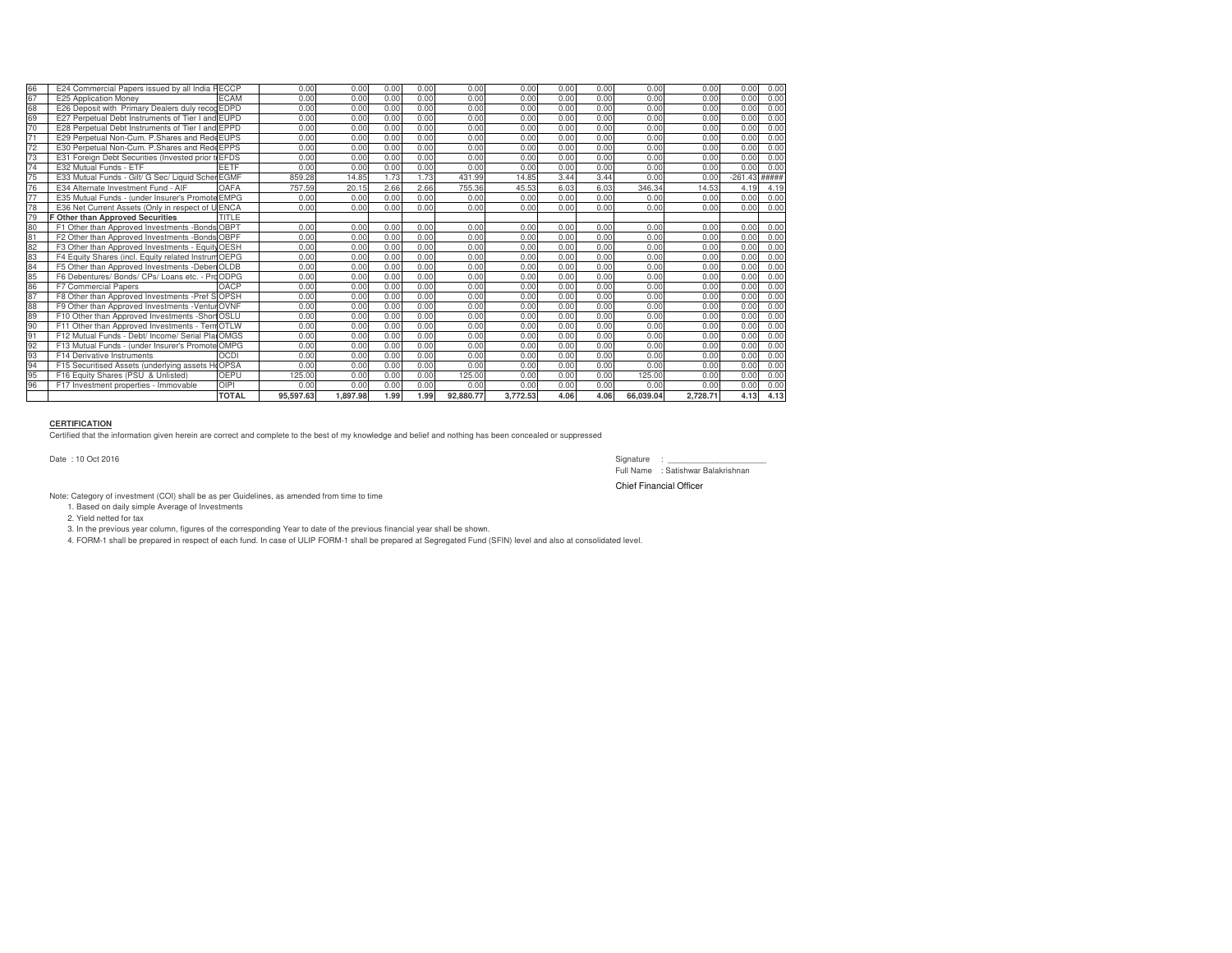| 66                         | E24 Commercial Papers issued by all India           | <b>FECCP</b> | 0.00      | 0.00     | 0.00 | 0.00 | 0.00      | 0.00     | 0.00 | 0.00 | 0.00      | 0.00     | 0.00      | 0.00  |
|----------------------------|-----------------------------------------------------|--------------|-----------|----------|------|------|-----------|----------|------|------|-----------|----------|-----------|-------|
| 67                         | E25 Application Money                               | <b>ECAM</b>  | 0.00      | 0.00     | 0.00 | 0.00 | 0.00      | 0.00     | 0.00 | 0.00 | 0.00      | 0.00     | 0.00      | 0.00  |
|                            | E26 Deposit with Primary Dealers duly recod EDPD    |              | 0.00      | 0.00     | 0.00 | 0.00 | 0.00      | 0.00     | 0.00 | 0.00 | 0.00      | 0.00     | 0.00      | 0.00  |
| 0<br>0<br>0<br>0<br>0<br>0 | E27 Perpetual Debt Instruments of Tier I and EUPD   |              | 0.00      | 0.00     | 0.00 | 0.00 | 0.00      | 0.00     | 0.00 | 0.00 | 0.00      | 0.00     | 0.00      | 0.00  |
|                            | E28 Perpetual Debt Instruments of Tier I and EPPD   |              | 0.00      | 0.00     | 0.00 | 0.00 | 0.00      | 0.00     | 0.00 | 0.00 | 0.00      | 0.00     | 0.00      | 0.00  |
| $\overline{71}$            | E29 Perpetual Non-Cum, P.Shares and Rede EUPS       |              | 0.00      | 0.00     | 0.00 | 0.00 | 0.00      | 0.00     | 0.00 | 0.00 | 0.00      | 0.00     | 0.00      | 0.00  |
| 72<br>73                   | E30 Perpetual Non-Cum, P.Shares and Rede EPPS       |              | 0.00      | 0.00     | 0.00 | 0.00 | 0.00      | 0.00     | 0.00 | 0.00 | 0.00      | 0.00     | 0.00      | 0.00  |
|                            | E31 Foreign Debt Securities (Invested prior         | <b>EFDS</b>  | 0.00      | 0.00     | 0.00 | 0.00 | 0.00      | 0.00     | 0.00 | 0.00 | 0.00      | 0.00     | 0.00      | 0.00  |
| $\overline{74}$            | E32 Mutual Funds - ETF                              | <b>FETF</b>  | 0.00      | 0.00     | 0.00 | 0.00 | 0.00      | 0.00     | 0.00 | 0.00 | 0.00      | 0.00     | 0.00      | 0.00  |
| 75                         | E33 Mutual Funds - Gilt/ G Sec/ Liquid Scher EGMF   |              | 859.28    | 14.85    | 1.73 | 1.73 | 431.99    | 14.85    | 3.44 | 3.44 | 0.00      | 0.00     | $-261.43$ | ##### |
| $\frac{1}{76}$             | E34 Alternate Investment Fund - AIF                 | OAFA         | 757.59    | 20.15    | 2.66 | 2.66 | 755.36    | 45.53    | 6.03 | 6.03 | 346.34    | 14.53    | 4.19      | 4.19  |
| $\overline{77}$            | E35 Mutual Funds - (under Insurer's Promo)          | te EMPG      | 0.00      | 0.00     | 0.00 | 0.00 | 0.00      | 0.00     | 0.00 | 0.00 | 0.00      | 0.00     | 0.00      | 0.00  |
| $\frac{1}{78}$             | E36 Net Current Assets (Only in respect of U ENCA   |              | 0.00      | 0.00     | 0.00 | 0.00 | 0.00      | 0.00     | 0.00 | 0.00 | 0.00      | 0.00     | 0.00      | 0.00  |
| 79                         | <b>F Other than Approved Securities</b>             | TITLE        |           |          |      |      |           |          |      |      |           |          |           |       |
|                            | F1 Other than Approved Investments -Bonds OBPT      |              | 0.00      | 0.00     | 0.00 | 0.00 | 0.00      | 0.00     | 0.00 | 0.00 | 0.00      | 0.00     | 0.00      | 0.00  |
|                            | F2 Other than Approved Investments -Bonds OBPF      |              | 0.00      | 0.00     | 0.00 | 0.00 | 0.00      | 0.00     | 0.00 | 0.00 | 0.00      | 0.00     | 0.00      | 0.00  |
|                            | F3 Other than Approved Investments - Equity OESH    |              | 0.00      | 0.00     | 0.00 | 0.00 | 0.00      | 0.00     | 0.00 | 0.00 | 0.00      | 0.00     | 0.00      | 0.00  |
|                            | F4 Equity Shares (incl. Equity related Instrum OEPG |              | 0.00      | 0.00     | 0.00 | 0.00 | 0.00      | 0.00     | 0.00 | 0.00 | 0.00      | 0.00     | 0.00      | 0.00  |
|                            | F5 Other than Approved Investments -Deben OLDB      |              | 0.00      | 0.00     | 0.00 | 0.00 | 0.00      | 0.00     | 0.00 | 0.00 | 0.00      | 0.00     | 0.00      | 0.00  |
|                            | F6 Debentures/ Bonds/ CPs/ Loans etc. - Pro ODPG    |              | 0.00      | 0.00     | 0.00 | 0.00 | 0.00      | 0.00     | 0.00 | 0.00 | 0.00      | 0.00     | 0.00      | 0.00  |
|                            | <b>F7 Commercial Papers</b>                         | OACP         | 0.00      | 0.00     | 0.00 | 0.00 | 0.00      | 0.00     | 0.00 | 0.00 | 0.00      | 0.00     | 0.00      | 0.00  |
|                            | F8 Other than Approved Investments -Pref S OPSH     |              | 0.00      | 0.00     | 0.00 | 0.00 | 0.00      | 0.00     | 0.00 | 0.00 | 0.00      | 0.00     | 0.00      | 0.00  |
|                            | F9 Other than Approved Investments - Ventur OVNF    |              | 0.00      | 0.00     | 0.00 | 0.00 | 0.00      | 0.00     | 0.00 | 0.00 | 0.00      | 0.00     | 0.00      | 0.00  |
|                            | F10 Other than Approved Investments -Short OSLU     |              | 0.00      | 0.00     | 0.00 | 0.00 | 0.00      | 0.00     | 0.00 | 0.00 | 0.00      | 0.00     | 0.00      | 0.00  |
| $rac{90}{91}$              | F11 Other than Approved Investments - Tern OTLW     |              | 0.00      | 0.00     | 0.00 | 0.00 | 0.00      | 0.00     | 0.00 | 0.00 | 0.00      | 0.00     | 0.00      | 0.00  |
|                            | F12 Mutual Funds - Debt/ Income/ Serial Plat OMGS   |              | 0.00      | 0.00     | 0.00 | 0.00 | 0.00      | 0.00     | 0.00 | 0.00 | 0.00      | 0.00     | 0.00      | 0.00  |
|                            | F13 Mutual Funds - (under Insurer's Promote OMPG    |              | 0.00      | 0.00     | 0.00 | 0.00 | 0.00      | 0.00     | 0.00 | 0.00 | 0.00      | 0.00     | 0.00      | 0.00  |
|                            | F14 Derivative Instruments                          | <b>OCDI</b>  | 0.00      | 0.00     | 0.00 | 0.00 | 0.00      | 0.00     | 0.00 | 0.00 | 0.00      | 0.00     | 0.00      | 0.00  |
| 90<br>90<br>90<br>90<br>90 | F15 Securitised Assets (underlying assets F         | <b>COPSA</b> | 0.00      | 0.00     | 0.00 | 0.00 | 0.00      | 0.00     | 0.00 | 0.00 | 0.00      | 0.00     | 0.00      | 0.00  |
|                            | F16 Equity Shares (PSU & Unlisted)                  | OEPU         | 125.00    | 0.00     | 0.00 | 0.00 | 125.00    | 0.00     | 0.00 | 0.00 | 125.00    | 0.00     | 0.00      | 0.00  |
| 96                         | F17 Investment properties - Immovable               | <b>OIPI</b>  | 0.00      | 0.00     | 0.00 | 0.00 | 0.00      | 0.00     | 0.00 | 0.00 | 0.00      | 0.00     | 0.00      | 0.00  |
|                            |                                                     | <b>TOTAL</b> | 95.597.63 | 1.897.98 | 1.99 | 1.99 | 92.880.77 | 3.772.53 | 4.06 | 4.06 | 66.039.04 | 2.728.71 | 4.13      | 4.13  |

#### **CERTIFICATION**

Certified that the information given herein are correct and complete to the best of my knowledge and belief and nothing has been concealed or suppressed

Date : 10 Oct 2016

Signature : \_\_\_\_\_\_\_\_\_\_\_\_\_\_\_\_\_\_\_\_\_\_ Full Name : Satishwar Balakrishnan

Chief Financial Officer

Note: Category of investment (COI) shall be as per Guidelines, as amended from time to time

1. Based on daily simple Average of Investments

2. Yield netted for tax

3. In the previous year column, figures of the corresponding Year to date of the previous financial year shall be shown.

4. FORM-1 shall be prepared in respect of each fund. In case of ULIP FORM-1 shall be prepared at Segregated Fund (SFIN) level and also at consolidated level.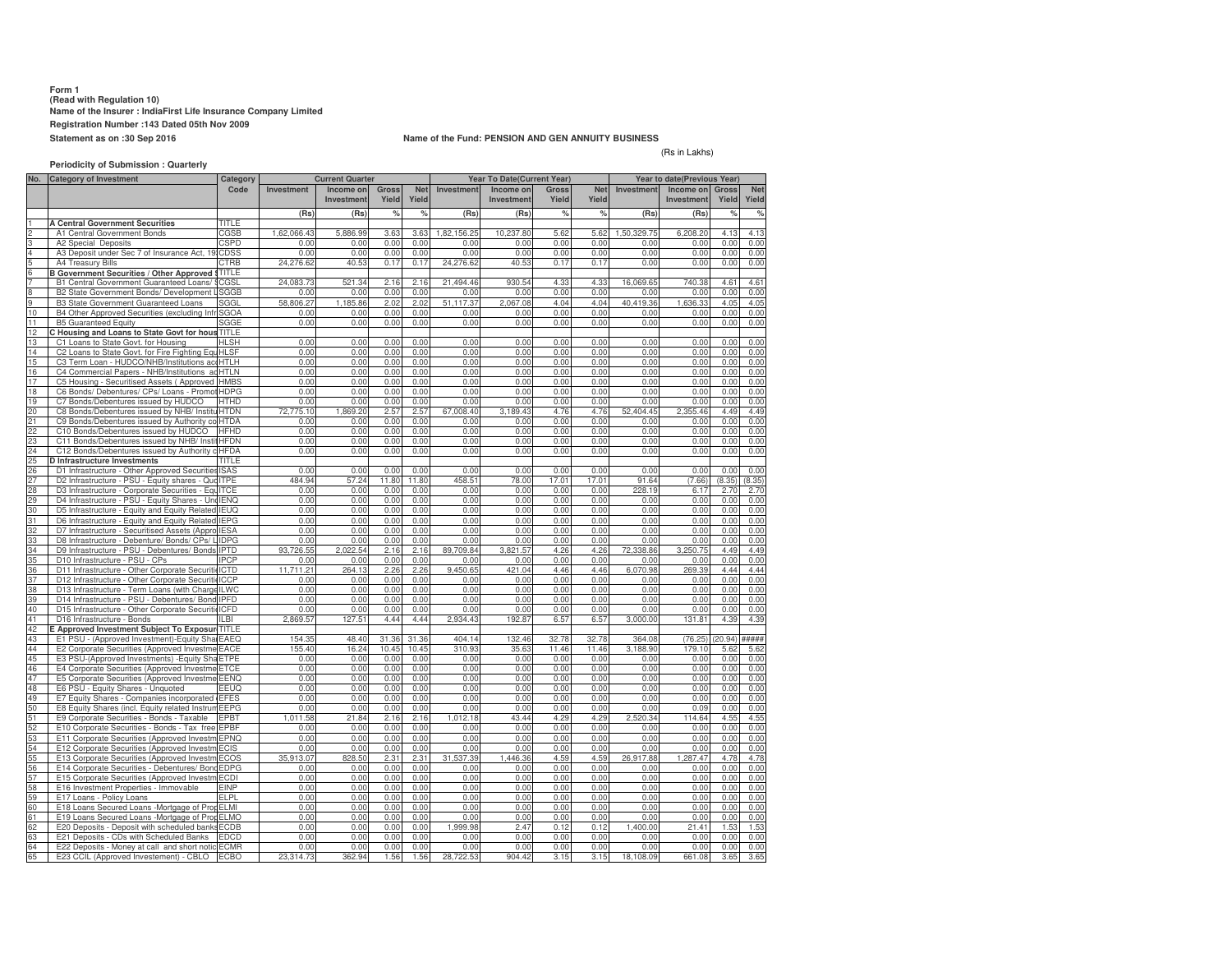#### **Form 1 (Read with Regulation 10) Name of the Insurer : IndiaFirst Life Insurance Company LimitedRegistration Number :143 Dated 05th Nov 2009Statement as on :30 Sep 2016**

65 E23 CCIL (Approved Investement) - CBLO

#### **Name of the Fund: PENSION AND GEN ANNUITY BUSINESS**

#### (Rs in Lakhs)

**Periodicity of Submission : QuarterlyNo. Category of InvestmentInvestment Income on InvestmentGross YieldNet Yield Investment Income onInvestme Gross YieldNet Yield Investment Income on InvestmentGross Yield** $O_{\alpha}$ **Net Yield(Rs) (Rs) % % (Rs) (Rs) % % (Rs) (Rs) % % A Central Government Securities** TITLEs CGSB A1 Central Government Bonds 1,62,066.43 5,886.99 3.63 3.63 1,82,156.25 10,237.80 5.62 5.62 1,50,329.75 6,208.20 4.13 4.13 A2 Special Deposits A2 Special Deposits<br>4 A3 Deposit under Sec 7 of Insurance Act, 19 CDSS 0.00 0.00 0.00 0.00 0.00 0.00 0.00 0.00 0.00 0.00 0.00 0.00 0.00 0.00 0.00 0.00 0.00 0.00 0.00 0.00 0.00 0.00 0.00 0.00 A4 Treasury Bills CTRB **B Government Securities / Other Approved Securities** 24,276.62 40.53 0.17 0.17 24,276.62 40.53 0.17 0.17 0.00 0.00 0.00 0.00 6 TITLEB1 Central Government Guaranteed Loans/ \$ CGSL<sub>24,083.73</sub> 521.34 2.16 2.16 21,494.46 930.54 4.33 4.33 16,069.65 740.38 4.61 4.61 B2 State Government Bonds/ Development SGGB 0.00 0.00 0.00 0.00 0.00 0.00 0.00 0.00 0.00 0.00 0.00 0.00 B3 State Government Guaranteed Loans SGGL 58,806.27 1,185.86 2.02 2.02 51,117.37 2,067.08 4.04 4.04 40,419.36 1,636.33 4.05 4.05 10 B4 Other Approved Securities (excluding Infr SGOA C0.00 0.00 0.00 0.00 0.00 0.00 0.00 0.00 0.00 0.00 0.00 0.00 11 B5 Guaranteed Equity 1 B5 Guaranteed Equity<br>2 **C Housing and Loans to State Govt for hous** TITLE 0.00 0.00 0.00 0.00 0.00 0.00 0.00 0.00 0.00 0.00 0.00 0.00 12 **ire fighting equipment** 13 C1 Loans to State Govt. for Housing<br>14 C2 Loans to State Govt. for Fire Fight 13 C1 Loans to State Govt. for Housing<br>14 C2 Loans to State Govt. for Fire Fighting Equ<sup>1</sup>HLSF <u>브 - 0.000 0.000 0.000 0.000 0.000 0.000 0.000 0.000 0.000 0.000 0.00</u>  $0.00000$  0.00 0.00 0.00 0.00 0.00 0.00 0.00 0.00 0.00 0.00 0.00 15 C3 Term Loan - HUDCO/NHB/Institutions accHTLH 0.00 0.00 0.00 0.00 0.00 0.00 0.00 0.00 0.00 0.00 0.00 0.00 16 C4 Commercial Papers - NHB/Institutions ad HTLN 0.00 0.00 0.00 0.00 0.00 0.00 0.00 0.00 0.00 0.00 0.00 0.00 17 C5 Housing - Securitised Assets (Approved HMBS 0.00 0.00 0.00 0.00 0.00 0.00 0.00 0.00 0.00 0.00 0.00 0.00 18 C6 Bonds/ Debentures/ CPs/ Loans - Promot HDPG <sup>p</sup> 0.00 0.00 0.00 0.00 0.00 0.00 0.00 0.00 0.00 0.00 0.00 0.00 19 C7 Bonds/Debentures issued by HUDCO HTHD 0.00 0.00 0.00 0.00 0.00 0.00 0.00 0.00 0.00 0.00 0.00 0.00 20 C8 Bonds/Debentures issued by NHB/ Instituted HTDN 72,775.10<br>21 C9 Bonds/Debentures issued by Authority coletTDA 0.00 72,775.10 1,869.20 2.57 2.57 67,008.40 3,189.43 4.76 4.76 52,404.45 2,355.46 4.49 4.49 21 C9 Bonds/Debentures issued by Authority contact C10 Bonds/Debentures issued by HUDCO HTDAted under any Housing/Building scheme approved by C $\begin{bmatrix} 0.00 & 0.00 & 0.00 & 0.00 & 0.00 & 0.00 & 0.00 & 0.00 & 0.00 & 0.00 & 0.00 & 0.00 & 0.00 & 0.00 & 0.00 & 0.00 & 0.00 & 0.00 & 0.00 & 0.00 & 0.00 & 0.00 & 0.00 & 0.00 & 0.00 & 0.00 & 0.00 & 0.00 & 0.00 & 0.00 & 0.00 & 0.00 & 0.00 & 0.00 & 0.00 & 0.0$ C10 Bonds/Debentures issued by HUDCO HFHD 0.00 0.00 0.00 0.00 0.00 0.00 0.00 0.00 0.00 0.00 0.00 0.00 23 C11 Bonds/Debentures issued by NHB/ Institutions HFDN 2.00 0.00 0.00 0.00 0.00 0.00 0.00 0.00 0.00 0.00 0.00 0.00 24 C12 Bonds/Debentures issued by Authority change C12 Bonds/Debentures issued by Authority change. HFDAuted under any Housing/Building scheme approved by 0.00 0.00 0.00 0.00 Central/State/any Authority or Body constituted by 0.00 0.00 0.00 0.00 Central/State Act. 0.00 0.00 0.00 0.00 25**D Infrastructure Investments**<br> **D1** Infrastructure - Other Appr 25 D Infrastructure Investments<br>26 D1 Infrastructure - Other Approved Securities ISAS 0.00 0.00 0.00 0.00 0.00 0.00 0.00 0.00 0.00 0.00 0.00 0.00 27 D2 Infrastructure - PSU - Equity shares - Quo ITPE 484.94 57.24 11.80 11.80 458.51 78.00 17.01 17.01 91.64 (7.66) (8.35) (8.35) 28 D3 Infrastructure - Corporate Securities - EquITCE y shares - Quoted 0.00 0.00 0.00 0.00 0.00 0.00 0.00 0.00 228.19 6.17 2.70 2.70 29 D4 Infrastructure - PSU - Equity Shares - UnqUENQ<br>30 D5 Infrastructure - Equity and Equity Related IFUO IENO 0.00 0.00 0.00 0.00 0.00 0.00 0.00 0.00 0.00 0.00 0.00 0.00 5 Infrastructure - Equity and Equity Related IEUQ<br>D6 Infrastructure - Equity and Equity Related IEPG  $0.0$  0.00 0.00 0.00 0.00 0.00 0.00 0.00 0.00 0.00 0.00 0.00 31 D6 Infrastructure - Equity and Equity Related IEPG 2003<br>32 D7 Infrastructure - Securitised Assets (Appro IESA 200  $0.0$  0.00 0.00 0.00 0.00 0.00 0.00 0.00 0.00 0.00 0.00 0.00 32 D7 Infrastructure - Securitised Assets (Appro IESA<br>33 D8 Infrastructure - Debenture/ Bonds/ CPs/ LIDPG IESA) 0.00 0.00 0.00 0.00 0.00 0.00 0.00 0.00 0.00 0.00 0.00 0.00 D8 Infrastructure - Debenture/ Bonds/ CPs/ L  $IDPG$   $0.00$  0.00 0.00 0.00 0.00 0.00 0.00 0.00 0.00 0.00 0.00 0.00 34 D9 Infrastructure - PSU - Debentures/ Bonds IPTD 93,726.55 2,022.54 2.16 2.16 89,709.84 3,821.57 4.26 4.26 72,338.86 3,250.75 4.49 4.49 35 D10 Infrastructure - PSU - CPs196 D10 Infrastructure - PSU - CPs<br>36 D11 Infrastructure - Other Corporate Securitie ICTD 0.00 0.00 0.00 0.00 0.00 0.00 0.00 0.00 0.00 0.00 0.00 0.00 ICTD Debentures/ Bonds 11,711.21 264.13 2.26 2.26 9,450.65 421.04 4.46 4.46 6,070.98 269.39 4.44 4.44 D12 Infrastructure - Other Corporate Securitie ICCP 0.00 0.00 0.00 0.00 0.00 0.00 0.00 0.00 0.00 0.00 0.00 0.00 38 D13 Infrastructure - Term Loans (with Charge ILWC<br>39 D14 Infrastructure - PSU - Debentures/ Bond IPFD 0.00 0.000 0.000 0.000 0.000 0.000 0.000 0.000 0.000 0.000 0.000 0.000 0.000 0.000 0.000 0.000 0.000 0.000 0.0 D14 Infrastructure - PSU - Debentures/ Bond 0.00 0.00 0.00 0.00 0.00 0.00 0.00 0.00 0.00 0.00 0.00 0.00 40 D15 Infrastructure - Other Corporate Securiti ICFD 0.000<br>41 D16 Infrastructure - Bonds<br>0.869.5 0.00 0.00 0.00 0.00 0.00 0.00 0.00 0.00 0.00 0.00 0.00 D16 Infrastructure - Bonds **ILBI 2,869.57<br>2 E Approved Investment Subject To Exposure TITLE**  127.51 4.44 4.44 2,934.43 192.87 6.57 6.57 3,000.00 131.81 4.39 4.39 4243 E1 PSU - (Approved Investment)-Equity Shares EAEQ ted 154.35 48.40 31.36 31.36 404.14 132.46 32.78 32.78 364.08 (76.25) (20.94) ##### 44 E2 Corporate Securities (Approved Investme EACE<br>45 E3 PSLI-(Approved Investments) - Fquity ShaFTPF  $\frac{155.40}{0.00}$   $\frac{16.24}{0.00}$  155.40 16.24 10.45 10.45 310.93 35.63 11.46 11.46 3,188.90 179.10 5.62 5.62 E3 PSU-(Approved Investments) -Equity Shares ETPE oted 0.00 0.00 0.00 0.00 0.00 0.00 0.00 0.00 0.00 0.00 0.00 0.00 46 E4 Corporate Securities (Approved Investme ETCE  $\qquad \qquad 0.00$  0.000.00 0.00 0.00 0.00 0.00 0.00 0.00 0.00 0.00 0.00 0.00 47 E5 Corporate Securities (Approved Investment ENG 0.00 0.00 0.00 0.00 0.00 0.00 0.00 0.00 0.00 0.00 0.00 0.00 48 E6 PSU - Equity Shares - Unquoted<br>49 E7 Equity Shares - Companies incor EEUQ<br>EFES 0.00 0.00 0.00 0.00 0.00 0.00 0.00 0.00 0.00 0.00 0.00 0.00 49 E7 Equity Shares - Companies incorporated<br>50 E8 Equity Shares (incl. Equity related Instru EFESe India (invested prior to IRDA Regulations) 0.00 0.00 0.00 0.00 0.00 0.00 0.00 0.00 0.00 0.00 0.00 0.00 E8 Equity Shares (incl. Equity related Instrum EEPG 0.00 0.00 0.00 0.00 0.00 0.00 0.00 0.00 0.00 0.09 0.00 0.00 51 E9 Corporate Securities - Bonds - Taxable EPBT 1,011.58 21.84 2.16 2.16 1,012.18 43.44 4.29 4.29 2,520.34 114.64 4.55 4.55 52 E10 Corporate Securities - Bonds - Tax free EPBF 0.00 0.00 0.00 0.00 0.00 0.00 0.00 0.00 0.00 0.00 0.00 0.00 53 E11 Corporate Securities (Approved Investment PNQ  $0.0$  0.00 0.00 0.00 0.00 0.00 0.00 0.00 0.00 0.00 0.00 0.00 54 E12 Corporate Securities (Approved Investment CIS 1995) 6.6 E13 Corporate Securities (Approved Investment COS 195.913.0  $0.00$  0.00 0.00 0.00 0.00 0.00 0.00 0.00 0.00 0.00 0.00 0.00 55 E13 Corporate Securities (Approved Investment COS 35,913.0<br>56 E14 Corporate Securities - Debentures/Bond EDPG 0.0 828.50 2.31 2.31 31,537.39 1,446.36 4.59 4.59 26,917.88 1,287.47 4.78 4.78 E14 Corporate Securities - Debentures/ Bon EDPGs/ Loans - Promoter Group 0.00 0.00 0.00 0.00 0.00 0.00 0.00 0.00 0.00 0.00 0.00 0.00 57 E15 Corporate Securities (Approved Investment DO 0.0 0.00 0.00 0.00 0.00 0.00 0.00 0.00 0.00 0.00 0.00 0.00 0.00 E16 Investment Properties - Immovable e EINP 0.00 0.00 0.00 0.00 0.00 0.00 0.00 0.00 0.00 0.00 0.00 0.00 59 E17 Loans - Policy LoansELPL600 E17 Loans - Policy Loans<br>60 E18 Loans Secured Loans -Mortgage of PropELMI 0.00 0.00 0.00 0.00 0.00 0.00 0.00 0.00 0.00 0.00 0.00 0.00 ELMI India (term Loan)0.00 0.00 0.00 0.00 0.00 0.00 0.00 0.00 0.00 0.00 0.00 0.00 61 E19 Loans Secured Loans -Mortgage of Property Capacity of Property of Property of Property of Property of Property of Property of Property of Property of Property of Property of Property of Property of Property of Prope ELMO $\frac{1}{1000}$  0.00 0.00 0.00 0.000 0.000 0.000 0.000 0.000 0.000 0.000 0.000 0.000 0.000 0.000 0.000 0.000 0.000 0.000 0.000 0.000 0.000 0.000 0.000 0.000 0.000 0.000 0.000 0.000 0.000 0.000 0.000 0.000 0.000 0.000 0.000 0 62 E20 Deposits - Deposit with scheduled banksECDB<u>0 0.00 0.00 0.00 0.00 1,999.98 2.47 0.12 0.12 1,400.00 21.41 1.53 1.53</u> 63 E21 Deposits - CDs with Scheduled Banks<br>64 E22 Deposits - Money at call and short notice 63 E21 Deposits - CDs with Scheduled Banks EDCD<br>64 E22 Deposits - Money at call and short notic ECMR 0.00 0.00 0.00 0.00 0.00 0.00 0.00 0.00 0.00 0.00 0.00 0.00 ith banks of the banks of the banks of the banks of the banks of the banks of the banks of the banks of the ba<br>In the banks of the banks of the banks of the banks of the banks of the banks of the banks of the banks of the **CategoryCodeCurrent Quarter Year To Date(Current Year) Year to date(Previous Year)**

ECBO 23,314.73 362.94 1.56 1.56 28,722.53 904.42 3.15 3.15 18,108.09 661.08 3.65 3.65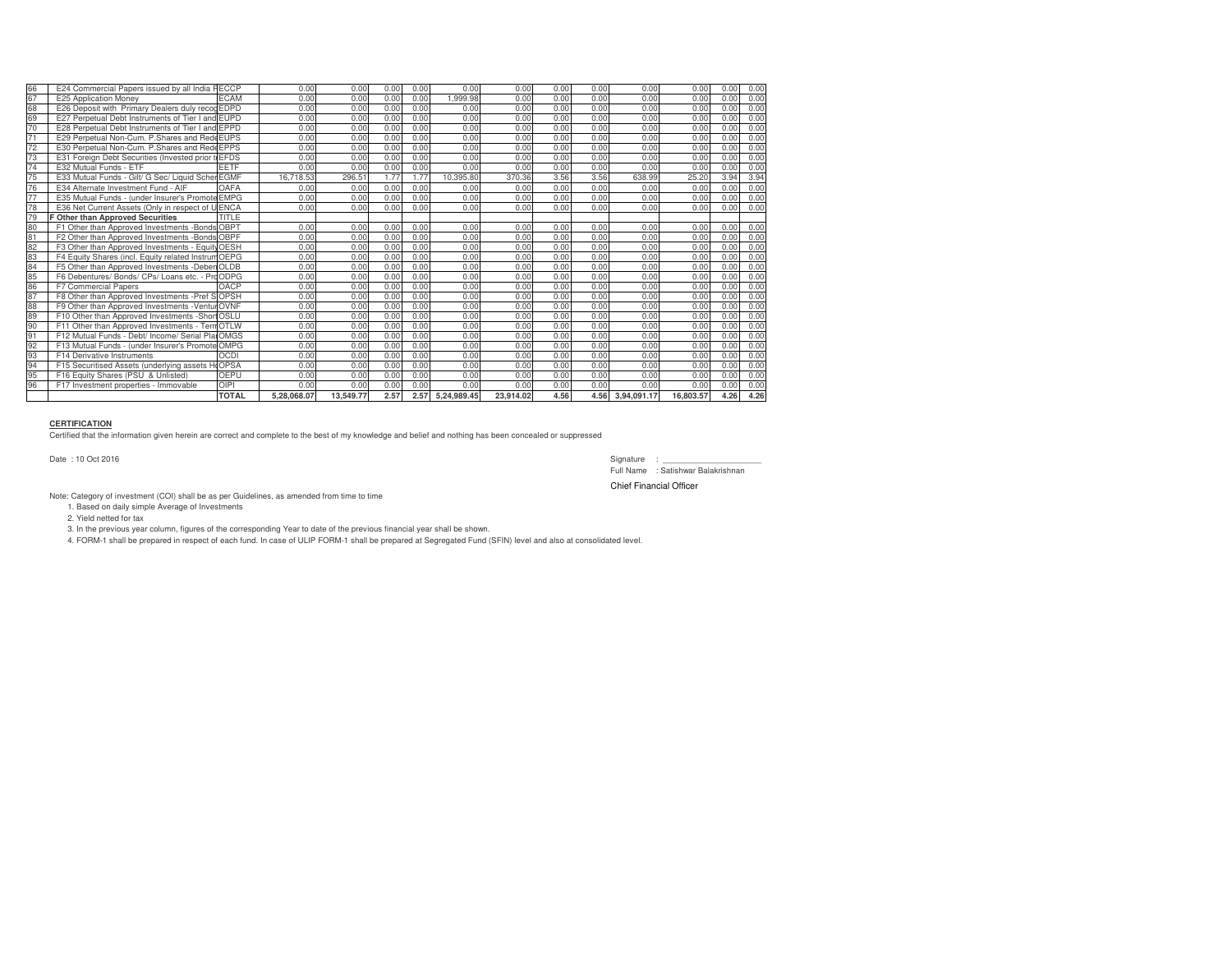| 66              | E24 Commercial Papers issued by all India FECCP     |              | 0.00        | 0.00      | 0.00 | 0.00 | 0.00        | 0.00      | 0.00 | 0.00 | 0.00        | 0.00      | 0.00 | 0.00 |
|-----------------|-----------------------------------------------------|--------------|-------------|-----------|------|------|-------------|-----------|------|------|-------------|-----------|------|------|
| 67              | E25 Application Money                               | <b>ECAM</b>  | 0.00        | 0.00      | 0.00 | 0.00 | .999.98     | 0.00      | 0.00 | 0.00 | 0.00        | 0.00      | 0.00 | 0.00 |
| 68              | E26 Deposit with Primary Dealers duly recog EDPD    |              | 0.00        | 0.00      | 0.00 | 0.00 | 0.00        | 0.00      | 0.00 | 0.00 | 0.00        | 0.00      | 0.00 | 0.00 |
| 69              | E27 Perpetual Debt Instruments of Tier I and EUPD   |              | 0.00        | 0.00      | 0.00 | 0.00 | 0.00        | 0.00      | 0.00 | 0.00 | 0.00        | 0.00      | 0.00 | 0.00 |
| 70              | E28 Perpetual Debt Instruments of Tier I and EPPD   |              | 0.00        | 0.00      | 0.00 | 0.00 | 0.00        | 0.00      | 0.00 | 0.00 | 0.00        | 0.00      | 0.00 | 0.00 |
| $\overline{71}$ | E29 Perpetual Non-Cum, P.Shares and Rede EUPS       |              | 0.00        | 0.00      | 0.00 | 0.00 | 0.00        | 0.00      | 0.00 | 0.00 | 0.00        | 0.00      | 0.00 | 0.00 |
| 72              | E30 Perpetual Non-Cum. P. Shares and Rede EPPS      |              | 0.00        | 0.00      | 0.00 | 0.00 | 0.00        | 0.00      | 0.00 | 0.00 | 0.00        | 0.00      | 0.00 | 0.00 |
| 73              | E31 Foreign Debt Securities (Invested prior         | t EFDS       | 0.00        | 0.00      | 0.00 | 0.00 | 0.00        | 0.00      | 0.00 | 0.00 | 0.00        | 0.00      | 0.00 | 0.00 |
| 74              | E32 Mutual Funds - ETF                              | <b>FETF</b>  | 0.00        | 0.00      | 0.00 | 0.00 | 0.00        | 0.00      | 0.00 | 0.00 | 0.00        | 0.00      | 0.00 | 0.00 |
| 75              | E33 Mutual Funds - Gilt/ G Sec/ Liquid Scher EGMF   |              | 16.718.53   | 296.51    | 1.77 | 1.77 | 10.395.80   | 370.36    | 3.56 | 3.56 | 638.99      | 25.20     | 3.94 | 3.94 |
| 76              | E34 Alternate Investment Fund - AIF                 | OAFA         | 0.00        | 0.00      | 0.00 | 0.00 | 0.00        | 0.00      | 0.00 | 0.00 | 0.00        | 0.00      | 0.00 | 0.00 |
| 77              | E35 Mutual Funds - (under Insurer's Promote EMPG    |              | 0.00        | 0.00      | 0.00 | 0.00 | 0.00        | 0.00      | 0.00 | 0.00 | 0.00        | 0.00      | 0.00 | 0.00 |
| 78              | E36 Net Current Assets (Only in respect of U ENCA   |              | 0.00        | 0.00      | 0.00 | 0.00 | 0.00        | 0.00      | 0.00 | 0.00 | 0.00        | 0.00      | 0.00 | 0.00 |
| 79              | F Other than Approved Securities                    | <b>TITLE</b> |             |           |      |      |             |           |      |      |             |           |      |      |
| 80              | F1 Other than Approved Investments -Bonds OBPT      |              | 0.00        | 0.00      | 0.00 | 0.00 | 0.00        | 0.00      | 0.00 | 0.00 | 0.00        | 0.00      | 0.00 | 0.00 |
| 81              | F2 Other than Approved Investments -Bonds OBPF      |              | 0.00        | 0.00      | 0.00 | 0.00 | 0.00        | 0.00      | 0.00 | 0.00 | 0.00        | 0.00      | 0.00 | 0.00 |
| 82              | F3 Other than Approved Investments - Equit          | <b>VOESH</b> | 0.00        | 0.00      | 0.00 | 0.00 | 0.00        | 0.00      | 0.00 | 0.00 | 0.00        | 0.00      | 0.00 | 0.00 |
| 83              | F4 Equity Shares (incl. Equity related Instrum OEPG |              | 0.00        | 0.00      | 0.00 | 0.00 | 0.00        | 0.00      | 0.00 | 0.00 | 0.00        | 0.00      | 0.00 | 0.00 |
| 84              | F5 Other than Approved Investments -Deben OLDB      |              | 0.00        | 0.00      | 0.00 | 0.00 | 0.00        | 0.00      | 0.00 | 0.00 | 0.00        | 0.00      | 0.00 | 0.00 |
| 85              | F6 Debentures/ Bonds/ CPs/ Loans etc. - ProODPG     |              | 0.00        | 0.00      | 0.00 | 0.00 | 0.00        | 0.00      | 0.00 | 0.00 | 0.00        | 0.00      | 0.00 | 0.00 |
| 86              | F7 Commercial Papers                                | OACP         | 0.00        | 0.00      | 0.00 | 0.00 | 0.00        | 0.00      | 0.00 | 0.00 | 0.00        | 0.00      | 0.00 | 0.00 |
| 87              | F8 Other than Approved Investments -Pref SOPSH      |              | 0.00        | 0.00      | 0.00 | 0.00 | 0.00        | 0.00      | 0.00 | 0.00 | 0.00        | 0.00      | 0.00 | 0.00 |
| 88              | F9 Other than Approved Investments - Ventur OVNF    |              | 0.00        | 0.00      | 0.00 | 0.00 | 0.00        | 0.00      | 0.00 | 0.00 | 0.00        | 0.00      | 0.00 | 0.00 |
| 89              | F10 Other than Approved Investments -Short OSLU     |              | 0.00        | 0.00      | 0.00 | 0.00 | 0.00        | 0.00      | 0.00 | 0.00 | 0.00        | 0.00      | 0.00 | 0.00 |
| 90              | F11 Other than Approved Investments - Tern OTLW     |              | 0.00        | 0.00      | 0.00 | 0.00 | 0.00        | 0.00      | 0.00 | 0.00 | 0.00        | 0.00      | 0.00 | 0.00 |
| 91              | F12 Mutual Funds - Debt/ Income/ Serial PlanOMGS    |              | 0.00        | 0.00      | 0.00 | 0.00 | 0.00        | 0.00      | 0.00 | 0.00 | 0.00        | 0.00      | 0.00 | 0.00 |
| 92              | F13 Mutual Funds - (under Insurer's Promote OMPG    |              | 0.00        | 0.00      | 0.00 | 0.00 | 0.00        | 0.00      | 0.00 | 0.00 | 0.00        | 0.00      | 0.00 | 0.00 |
| 93              | F14 Derivative Instruments                          | <b>OCDI</b>  | 0.00        | 0.00      | 0.00 | 0.00 | 0.00        | 0.00      | 0.00 | 0.00 | 0.00        | 0.00      | 0.00 | 0.00 |
| 94              | F15 Securitised Assets (underlying assets H         | <b>OPSA</b>  | 0.00        | 0.00      | 0.00 | 0.00 | 0.00        | 0.00      | 0.00 | 0.00 | 0.00        | 0.00      | 0.00 | 0.00 |
| 95<br>96        | F16 Equity Shares (PSU & Unlisted)                  | <b>OEPU</b>  | 0.00        | 0.00      | 0.00 | 0.00 | 0.00        | 0.00      | 0.00 | 0.00 | 0.00        | 0.00      | 0.00 | 0.00 |
|                 | F17 Investment properties - Immovable               | OIPI         | 0.00        | 0.00      | 0.00 | 0.00 | 0.00        | 0.00      | 0.00 | 0.00 | 0.00        | 0.00      | 0.00 | 0.00 |
|                 |                                                     | <b>TOTAL</b> | 5,28,068.07 | 13.549.77 | 2.57 | 2.57 | 5.24.989.45 | 23.914.02 | 4.56 | 4.56 | 3.94.091.17 | 16.803.57 | 4.26 | 4.26 |

### **CERTIFICATION**

Certified that the information given herein are correct and complete to the best of my knowledge and belief and nothing has been concealed or suppressed

Date : 10 Oct 2016

Signature : \_\_\_\_\_\_\_\_\_\_\_\_\_\_\_\_\_\_\_\_\_\_ Full Name : Satishwar Balakrishnan

Chief Financial Officer

Note: Category of investment (COI) shall be as per Guidelines, as amended from time to time

1. Based on daily simple Average of Investments

2. Yield netted for tax

3. In the previous year column, figures of the corresponding Year to date of the previous financial year shall be shown.

4. FORM-1 shall be prepared in respect of each fund. In case of ULIP FORM-1 shall be prepared at Segregated Fund (SFIN) level and also at consolidated level.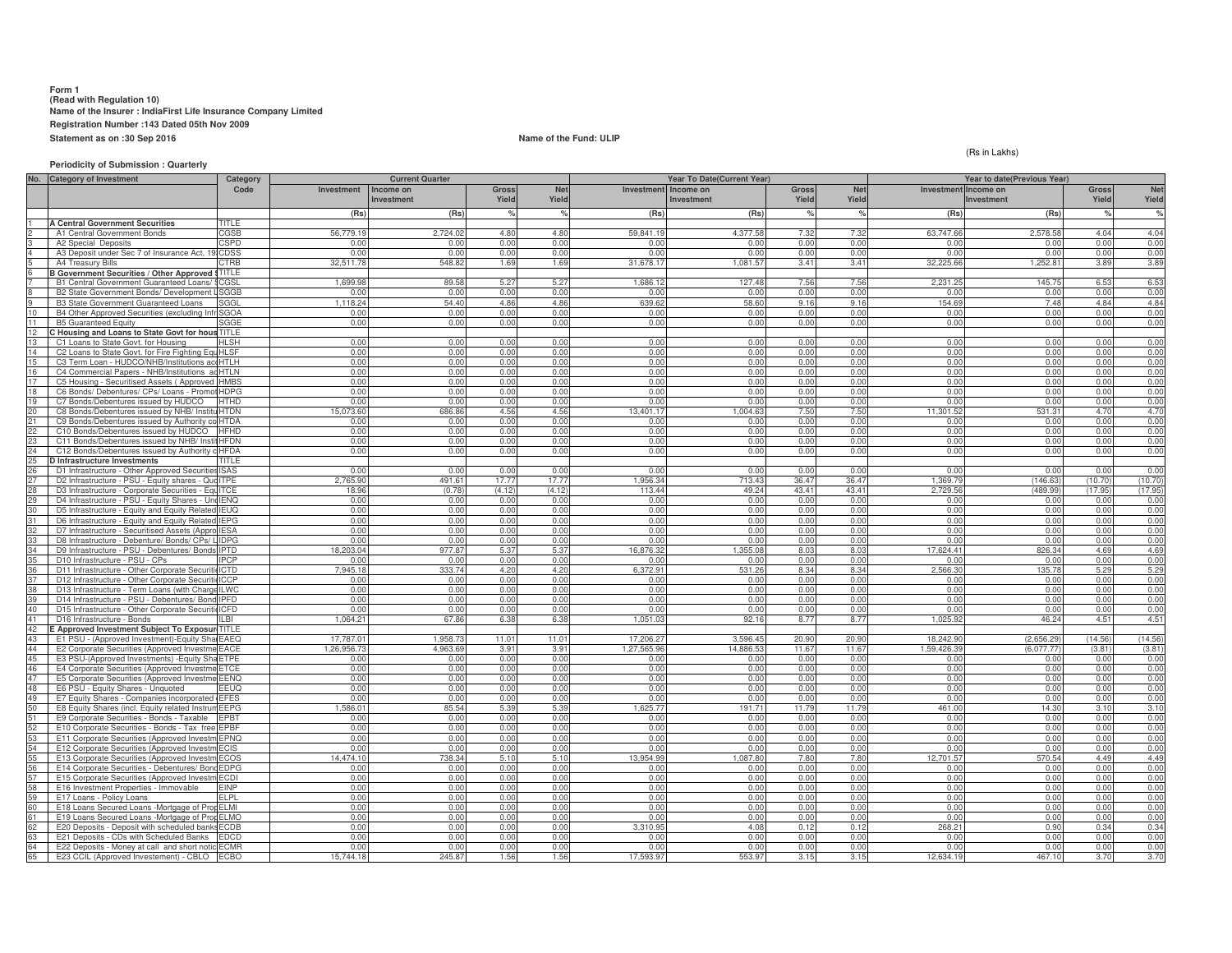# **Form 1 (Read with Regulation 10) Name of the Insurer : IndiaFirst Life Insurance Company LimitedRegistration Number :143 Dated 05th Nov 2009Statement as on :30 Sep 2016**

**Name of the Fund: ULIP**

### **Periodicity of Submission : Quarterly**

(Rs in Lakhs)

|                | No. Category of Investment                                                                     | Category                   |                     | <b>Current Quarter</b> |                        |                 |                    | Year To Date(Current Year) |                |                 |                           | Year to date(Previous Year) |                    |                    |
|----------------|------------------------------------------------------------------------------------------------|----------------------------|---------------------|------------------------|------------------------|-----------------|--------------------|----------------------------|----------------|-----------------|---------------------------|-----------------------------|--------------------|--------------------|
|                |                                                                                                | Code                       | Investment          | Income on              | Gross                  | <b>Net</b>      | Investment         | Income on                  | Gross          | Net             | Investment Income on      |                             | <b>Gross</b>       | Net                |
|                |                                                                                                |                            |                     | Investment             | Yield                  | Yield           |                    | Investment                 | Yield          | Yield           |                           | Investment                  | Yield              | Yield              |
|                |                                                                                                |                            | (Rs)                | (Rs)                   |                        | $\frac{1}{2}$   | (Rs)               | (Rs)                       |                |                 | (Rs)                      | (Rs)                        |                    | $\frac{9}{6}$      |
|                | <b>A Central Government Securities</b><br>A1 Central Government Bonds                          | TITLE<br>CGSB              | 56,779.19           | 2.724.02               | 4.80                   | 4.80            | 59.841.19          | 4.377.58                   | 7.32           | 7.32            | 63,747.66                 | 2,578.58                    | 4.04               | 4.04               |
|                | A2 Special Deposits                                                                            | CSPD                       | 0.00                | 0.00                   | 0.00                   | 0.00            | 0.01               | 0.00                       | 0.00           | 0.00            | 0.00                      | 0.00                        | 0.00               | 0.00               |
|                | A3 Deposit under Sec 7 of Insurance Act, 19 CDSS                                               |                            | 0.00                | 0.00                   | 0.00                   | 0.00            | 0.00               | 0.00                       | 0.00           | 0.00            | 0.00                      | 0.00                        | 0.00               | 0.00               |
|                | A4 Treasury Bills                                                                              | CTRB                       | 32,511.78           | 548.82                 | 1.69                   | 1.69            | 31,678.1           | 1,081.5                    | 3.41           | 3.41            | 32,225.6                  | 1,252.8                     | 3.89               | 3.89               |
|                | <b>B Government Securities / Other Approved</b>                                                | <b>STITLE</b>              |                     |                        |                        |                 |                    |                            |                |                 |                           |                             |                    |                    |
|                | B1 Central Government Guaranteed Loans                                                         | CGSI                       | 1.699.9             | 89.58                  | 5.2                    | 5.27            | 1.686.1            | 127.4                      | 7.56           | 7.56            | 2.231.2                   | 145.7                       | 6.52               | 6.53               |
|                | B2 State Government Bonds/ Development                                                         | SGGB                       | 0.00                | 0.00                   | 0.00                   | 0.00            | 0.00               | 0.01                       | 0.00           | 0.00            | 0.00                      | 0.00                        | 0.00               | 0.00               |
|                | <b>B3 State Government Guaranteed Loans</b>                                                    | SGGI                       | 1.118.24            | 54.40                  | 4.86                   | 4.86            | 639.6              | 58.6                       | 9.16           | 9.16            | 154.69                    | 7.48                        | 4.84               | 4.84               |
| 11             | B4 Other Approved Securities (excluding li<br><b>B5</b> Guaranteed Equity                      | <b>SGOA</b><br>SGGE        | 0.00<br>0.00        | 0.00<br>0.00           | 0.00<br>0.00           | 0.00<br>0.00    | 0.00<br>0.00       | 0.00<br>0.00               | 0.00<br>0.00   | 0.0(<br>0.00    | 0.00<br>0.00              | 0.00<br>0.00                | 0.00<br>0.00       | 0.00<br>0.00       |
| 12             | C Housing and Loans to State Govt for hous TITLE                                               |                            |                     |                        |                        |                 |                    |                            |                |                 |                           |                             |                    |                    |
| 13             | C1 Loans to State Govt, for Housing                                                            | <b>HLSH</b>                | 0.00                | 0.00                   | 0.00                   | 0.00            | 0.00               | 0.00                       | 0.00           | 0 <sub>0</sub>  | 0.00                      | 0.00                        | 0.00               | 0.00               |
| $\overline{A}$ | C2 Loans to State Govt. for Fire Fighting Eq                                                   | <b>HLSF</b>                | 0.00                | 0.00                   | 0.0                    | 0.00            | 0.0(               | 0.00                       | 0.00           | 0. <sub>C</sub> | 0.00                      | 0.00                        | 0.00               | 0.00               |
| 15             | C3 Term Loan - HUDCO/NHB/Institutions actHTLH                                                  |                            | 0.00                | 0.00                   | 0.00                   | 0.00            | 0.00               | 0.00                       | 0.00           | 0.0(            | 0.00                      | 0.00                        | 0.00               | 0.00               |
|                | C4 Commercial Papers - NHB/Institutions ad HTLN                                                |                            | 0.00                | 0.00                   | 0.00                   | 0.00            | 0.00               | 0.00                       | 0.00           | 0.00            | 0.00                      | 0.00                        | 0.00               | 0.00               |
| 17             | C5 Housing - Securitised Assets (Approved HMBS                                                 |                            | 0.00                | 0.00                   | 0.00                   | 0.00            | 0.0(               | 0.00                       | 0.00           | 0.0(            | 0.00                      | 0.00                        | 0.00               | 0.00               |
| 18<br>19       | C6 Bonds/ Debentures/ CPs/ Loans - Promo                                                       | dt HDPG                    | 0.00                | 0.00<br>0.00           | 0.00                   | 0.00            | 0.00<br>0.00       | 0.00<br>0.00               | 0.00<br>0.00   | 0.00            | 0.00<br>0.00              | 0.00<br>0.00                | 0.00               | 0.00<br>0.00       |
| 20             | C7 Bonds/Debentures issued by HUDCO<br>C8 Bonds/Debentures issued by NHB/ Insti                | <b>HTHD</b><br><b>HTDN</b> | 0.00<br>15.073.60   | 686.86                 | 0.00<br>4.56           | 0.00<br>4.56    | 13.401.1           | 1.004.6                    | 7.50           | 0.00<br>7.5(    | 11.301.52                 | 531.3                       | 0.00<br>4.70       | 4.70               |
| 21             | C9 Bonds/Debentures issued by Authority                                                        | <b>HTDA</b>                | 0.00                | 0.00                   | 0.00                   | 0.00            | 0.00               | 0.00                       | 0.00           | 0.00            | 0.00                      | 0.00                        | 0.00               | 0.00               |
| 22             | C10 Bonds/Debentures issued by HUDCO                                                           | <b>HFHD</b>                | 0.00                | 0.00                   | 0.00                   | 0.00            | 0.00               | 0.00                       | 0.00           | 0.00            | 0.00                      | 0.00                        | 0.00               | 0.00               |
| 23             | C11 Bonds/Debentures issued by NHB/ Ins                                                        | HFDN                       | 0.00                | 0.00                   | 0.00                   | 0.00            | 0.00               | 0.00                       | 0.00           | 0.00            | 0.00                      | 0.00                        | 0.00               | 0.00               |
| 24             | C12 Bonds/Debentures issued by Authority                                                       | <b>HFDA</b>                | 0.00                | 0.00                   | 0.00                   | 0.00            | 0.00               | 0.00                       | 0.00           | 0.0(            | 0.00                      | 0.00                        | 0.00               | 0.00               |
| 25             | D Infrastructure Investments                                                                   | TITLE                      |                     |                        |                        |                 |                    |                            |                |                 |                           |                             |                    |                    |
| 26             | D1 Infrastructure - Other Approved Securitie                                                   | <b>ISAS</b>                | 0.00                | 0.00                   | 0.00                   | 0.00            | 0.00               | 0.00                       | 0.00           | 0.0(            | 0.00                      | 0.00                        | 0.00               | 0.00               |
| 28             | D2 Infrastructure - PSU - Equity shares - Qu<br>D3 Infrastructure - Corporate Securities - Equ | <b>ITPE</b><br><b>ITCE</b> | 2.765.90<br>18.96   | 491.61<br>(0.78)       | 17.77<br>(4.12)        | 17.77<br>(4.12) | 1.956.3<br>113.44  | 713.4<br>49.24             | 36.47<br>43.41 | 36.4<br>43.4    | 1.369.7<br>2.729.56       | (146.63)<br>(489.99         | (10.70)<br>(17.95) | (10.70)<br>(17.95) |
|                | D4 Infrastructure - PSU - Equity Shares - Un                                                   | 10 IENQ                    | 0.00                | 0.00                   | 0.00                   | 0.00            | 0.00               | 0.00                       | 0.00           | 0.00            | 0.0(                      | 0.00                        | 0.00               | 0.00               |
| 30             | D5 Infrastructure - Equity and Equity Related                                                  | IEUO                       | 0.00                | 0.00                   | 0.00                   | 0.00            | 0.00               | 0.00                       | 0.00           | 0.00            | 0.00                      | 0.00                        | 0.00               | 0.00               |
|                | D6 Infrastructure - Equity and Equity Relate                                                   | <b>IEPG</b>                | 0.00                | 0.00                   | 0.00                   | 0.00            | 0.00               | 0.00                       | 0.00           | 0 <sub>0</sub>  | 0.00                      | 0.00                        | 0.00               | 0.00               |
|                | D7 Infrastructure - Securitised Assets (Appro IESA                                             |                            | 0.00                | 0.00                   | 0.00                   | 0.00            | 0.00               | 0.00                       | 0.00           | 0.00            | 0.00                      | 0.00                        | 0.00               | 0.00               |
|                | D8 Infrastructure - Debenture/ Bonds/ CPs/ LIDPG                                               |                            | 0.00                | 0.00                   | 0.00                   | 0.00            | 0.00               | 0.00                       | 0.00           | 0.00            | 0.00                      | 0.00                        | 0.00               | 0.00               |
|                | D9 Infrastructure - PSU - Debentures/ Bonds IPTD                                               |                            | 18.203.04           | 977.87                 | 5.37                   | 5.37            | 16.876.32          | 1.355.0                    | 8.03           | 80              | 17.624.41                 | 826.34                      | 4.69               | 4.69               |
|                | D10 Infrastructure - PSU - CPs                                                                 | <b>IPCP</b>                | 0.0(<br>7.945.1     | 0.00<br>333.74         | 0.00                   | 0.00<br>4.20    | 0.0(<br>6.372.9    | 0 <sub>0</sub><br>531.2    | 0.00           | 0.0(            | 0 <sub>0</sub><br>2.566.3 | 0.00<br>135.7               | 0.00<br>5.29       | 0.00<br>5.29       |
|                | D11 Infrastructure - Other Corporate Securi<br>D12 Infrastructure - Other Corporate Secur      | <b>ICTD</b><br>CCP         | 0.00                | 0.00                   | 4.21<br>0.00           | 0.00            | 0.00               | 0.00                       | 8.34<br>0.00   | 8.34<br>0.00    | 0.01                      | 0.00                        | 0.00               | 0.00               |
|                | D13 Infrastructure - Term Loans (with Chard                                                    | LWC                        | 0 <sub>0</sub>      | 0.00                   | 0.0                    | 0.00            | 0.0(               | 0.01                       | 0.00           | 0.01            | 0 <sub>0</sub>            | 0.00                        | 0.00               | 0.00               |
| 39             | D14 Infrastructure - PSU - Debentures/ Bond IPFD                                               |                            | 0.00                | 0.00                   | n nr                   | 0.00            | 0.00               | 0.00                       | 0.00           | 0.00            | 0.00                      | 0.00                        | 0.00               | 0.00               |
| 40             | D15 Infrastructure - Other Corporate Securit                                                   | id <sub>ICFD</sub>         | 0.00                | 0.00                   | 0.00                   | 0.00            | 0.00               | 0.00                       | 0.00           | 0.0(            | 0.00                      | 0.00                        | 0.00               | 0.00               |
| A1             | D16 Infrastructure - Bonds                                                                     | II RI                      | 1.064.21            | 67.86                  | 6.3                    | 6.38            | 1.051.0            | 92.11                      | 8.77           | 8.77            | 1.025.9                   | 46.24                       | 4.51               | 4.51               |
| 42             | E Approved Investment Subject To Exposur TITLE                                                 |                            |                     |                        |                        |                 |                    |                            |                |                 |                           |                             |                    |                    |
| 43<br>44       | E1 PSU - (Approved Investment)-Equity Shal EAEQ                                                |                            | 17,787.01           | 1.958.73               | 11.01                  | 11.01           | 17,206.2           | 3.596.4                    | 20.90          | 20.90           | 18,242.9                  | (2,656.29)                  | (14.56)            | (14.56)            |
| 45             | E2 Corporate Securities (Approved Investm<br>E3 PSU-(Approved Investments) - Equity Sh         | <b>EACE</b><br><b>ETPE</b> | 1.26.956.73<br>0.00 | 4.963.69<br>0.00       | 3.91<br>0.00           | 3.91<br>0.00    | 1.27.565.9<br>0.00 | 14.886.5<br>0.00           | 11.67<br>0.00  | 11.6<br>0.00    | 1.59.426.3<br>0.00        | (6.077.77)<br>0.00          | (3.81)<br>0.00     | (3.81)<br>0.00     |
| 46             | E4 Corporate Securities (Approved Investm                                                      | <b>ETCE</b>                | 0.00                | 0.00                   | 0.00                   | 0.00            | 0.00               | 0.00                       | 0.00           | 0.00            | 0.00                      | 0.00                        | 0.00               | 0.00               |
| 47             | E5 Corporate Securities (Approved Investm                                                      | <b>EENQ</b>                | 0.00                | 0.00                   | 0.00                   | 0.00            | 0.00               | 0.00                       | 0.00           | 0.00            | 0.00                      | 0.00                        | 0.00               | 0.00               |
| 48             | E6 PSU - Equity Shares - Unquoted                                                              | EEUQ                       | 0.00                | 0.00                   | 0.00                   | 0.00            | 0.00               | 0.00                       | 0.00           | 0.0(            | 0.00                      | 0.00                        | 0.00               | 0.00               |
| 49             | E7 Equity Shares - Companies incorporated                                                      | <b>EFES</b>                | 0.00                | 0.00                   | 0.00                   | 0.00            | 0.00               | 0.00                       | 0.00           | 0.0(            | 0.00                      | 0.00                        | 0.00               | 0.00               |
| 50             | E8 Equity Shares (incl. Equity related Instru                                                  | <b>EEPG</b>                | ,586.01             | 85.54                  | 5.39                   | 5.39            | 1,625.7            | 191.71                     | 11.79          | 11.79           | 461.00                    | 14.30                       | 3.10               | 3.10               |
| 51             | E9 Corporate Securities - Bonds - Taxable                                                      | EPBT                       | 0.00                | 0.00                   | 0.00                   | 0.00            | 0.00               | 0.00                       | 0.00           | 0.0(            | 0 <sub>0</sub>            | 0.00                        | 0.00               | 0.00               |
| 52             | E10 Corporate Securities - Bonds - Tax free                                                    | <b>EPBF</b>                | 0.00<br>0.00        | 0.00                   | 0 <sub>0</sub><br>0.00 | 0.00<br>0.00    | 0.00<br>0.00       | 0.00<br>0.00               | 0.00<br>0.00   | 0.00            | 0.00<br>0.00              | 0.00<br>0.00                | 0.00<br>0.00       | 0.00<br>0.00       |
| 53<br>54       | E11 Corporate Securities (Approved Investr<br>E12 Corporate Securities (Approved Investr       | 1 EPNQ<br><b>ECIS</b>      | 0.00                | 0.00<br>0.00           | 0.00                   | 0.00            | 0.00               | 0.00                       | 0.00           | 0.00<br>0.0(    | 0.00                      | 0.00                        | 0.00               | 0.00               |
|                | E13 Corporate Securities (Approved Investn                                                     | <b>IECOS</b>               | 14.474.10           | 738.34                 | 5.10                   | 5.10            | 13.954.9           | 1.087.8                    | 7.80           | 7.80            | 12.701.57                 | 570.54                      | 4.49               | 4.49               |
|                | E14 Corporate Securities - Debentures/ Bon                                                     | <b>EDPG</b>                | 0.00                | 0.00                   | 0.00                   | 0.00            | 0.00               | 0.00                       | 0.00           | 0.00            | 0.00                      | 0.00                        | 0.00               | 0.00               |
|                | E15 Corporate Securities (Approved Investr                                                     | ECDI                       | 0.00                | 0.00                   | 0.00                   | 0.00            | 0.00               | 0.00                       | 0.00           | 0.00            | 0.00                      | 0.00                        | 0.00               | 0.00               |
| 58             | E16 Investment Properties - Immovable                                                          | <b>FINP</b>                | 0.00                | 0.00                   | 0.00                   | 0.00            | 0.00               | 0.00                       | 0.00           | 0.00            | 0.00                      | 0.00                        | 0.00               | 0.00               |
|                | E17 Loans - Policy Loans                                                                       | FI PI                      | 0.00                | 0.00                   | 0.00                   | 0.00            | 0.00               | 0.00                       | 0.00           | 0.0(            | 0.00                      | 0.00                        | 0.00               | 0.00               |
| 60             | E18 Loans Secured Loans -Mortgage of Prop ELMI                                                 |                            | 0.00                | 0.00                   | 0.00                   | 0.00            | 0.00               | 0.00                       | 0.00           | 0.00            | 0.00                      | 0.00                        | 0.00               | 0.00               |
|                | E19 Loans Secured Loans -Mortgage of Pro<br>E20 Deposits - Deposit with scheduled ban          | <b>FLMO</b><br><b>ECDB</b> | 0.00<br>0.00        | 0.00<br>0.00           | 0.00<br>0.0            | 0.00<br>0.00    | 0.00<br>3.310.9    | 0.00<br>4.08               | 0.00<br>0.12   | 0.00<br>0.1     | 0.00<br>268.2             | 0.00<br>0.90                | 0.00<br>0.34       | 0.00<br>0.34       |
|                | E21 Deposits - CDs with Scheduled Banks                                                        | <b>EDCD</b>                | 0.00                | 0.00                   | 0.00                   | 0.00            | 0.00               | 0.00                       | 0.00           | 0.00            | 0.00                      | 0.00                        | 0.00               | 0.00               |
|                | E22 Deposits - Money at call and short noti                                                    | ECMR                       | 0.00                | 0.00                   | 0.00                   | 0.00            | 0.0(               | 0.00                       | 0.00           | 0.00            | 0.0(                      | 0.00                        | 0.00               | 0.00               |
| 65             | E23 CCIL (Approved Investement) - CBLO                                                         | <b>ECBO</b>                | 15.744.18           | 245.87                 | 1.56                   | 1.56            | 17,593.97          | 553.9                      | 3.15           | 3.15            | 12.634.1                  | 467.10                      | 3.70               | 3.70               |